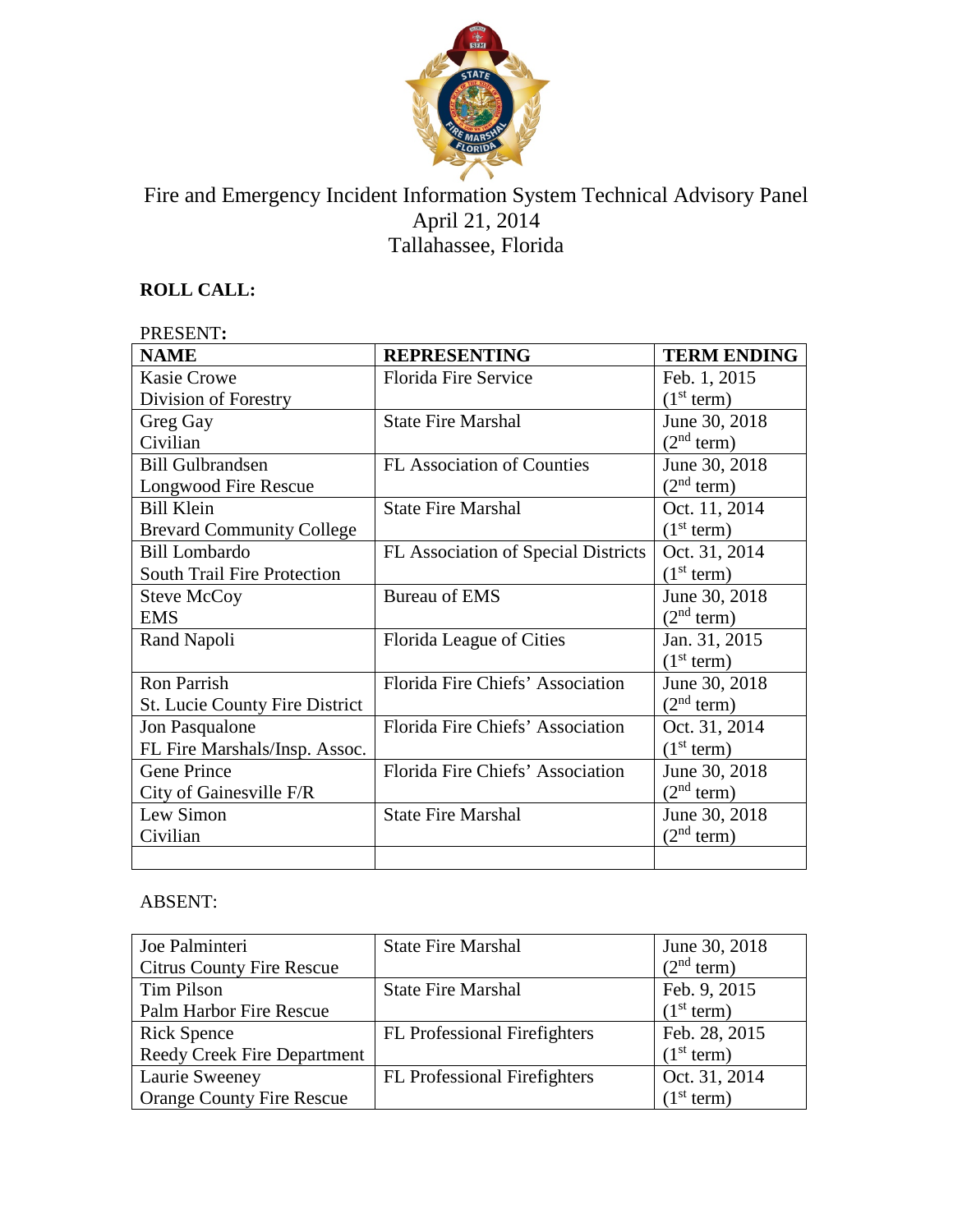

# Fire and Emergency Incident Information System Technical Advisory Panel April 21, 2014 Tallahassee, Florida

# **ROLL CALL:**

| PRESENT:                              |                                     |                        |  |
|---------------------------------------|-------------------------------------|------------------------|--|
| <b>NAME</b>                           | <b>REPRESENTING</b>                 | <b>TERM ENDING</b>     |  |
| <b>Kasie Crowe</b>                    | Florida Fire Service                | Feb. 1, 2015           |  |
| Division of Forestry                  |                                     | (1 <sup>st</sup> term) |  |
| Greg Gay                              | <b>State Fire Marshal</b>           | June 30, 2018          |  |
| Civilian                              |                                     | (2 <sup>nd</sup> term) |  |
| <b>Bill Gulbrandsen</b>               | <b>FL Association of Counties</b>   | June 30, 2018          |  |
| Longwood Fire Rescue                  |                                     | (2 <sup>nd</sup> term) |  |
| <b>Bill Klein</b>                     | <b>State Fire Marshal</b>           | Oct. 11, 2014          |  |
| <b>Brevard Community College</b>      |                                     | (1 <sup>st</sup> term) |  |
| <b>Bill Lombardo</b>                  | FL Association of Special Districts | Oct. 31, 2014          |  |
| <b>South Trail Fire Protection</b>    |                                     | (1 <sup>st</sup> term) |  |
| <b>Steve McCoy</b>                    | Bureau of EMS                       | June 30, 2018          |  |
| <b>EMS</b>                            |                                     | (2 <sup>nd</sup> term) |  |
| Rand Napoli                           | Florida League of Cities            | Jan. 31, 2015          |  |
|                                       |                                     | (1 <sup>st</sup> term) |  |
| <b>Ron Parrish</b>                    | Florida Fire Chiefs' Association    | June 30, 2018          |  |
| <b>St. Lucie County Fire District</b> |                                     | (2 <sup>nd</sup> term) |  |
| Jon Pasqualone                        | Florida Fire Chiefs' Association    | Oct. 31, 2014          |  |
| FL Fire Marshals/Insp. Assoc.         |                                     | (1 <sup>st</sup> term) |  |
| Gene Prince                           | Florida Fire Chiefs' Association    | June 30, 2018          |  |
| City of Gainesville F/R               |                                     | (2 <sup>nd</sup> term) |  |
| Lew Simon                             | <b>State Fire Marshal</b>           | June 30, 2018          |  |
| Civilian                              |                                     | (2 <sup>nd</sup> term) |  |
|                                       |                                     |                        |  |

# ABSENT:

| Joe Palminteri                     | <b>State Fire Marshal</b>           | June 30, 2018          |
|------------------------------------|-------------------------------------|------------------------|
| <b>Citrus County Fire Rescue</b>   |                                     | (2 <sup>nd</sup> term) |
| Tim Pilson                         | <b>State Fire Marshal</b>           | Feb. 9, 2015           |
| Palm Harbor Fire Rescue            |                                     | (1 <sup>st</sup> term) |
| <b>Rick Spence</b>                 | <b>FL</b> Professional Firefighters | Feb. 28, 2015          |
| <b>Reedy Creek Fire Department</b> |                                     | (1 <sup>st</sup> term) |
| Laurie Sweeney                     | FL Professional Firefighters        | Oct. 31, 2014          |
| <b>Orange County Fire Rescue</b>   |                                     | (1 <sup>st</sup> term) |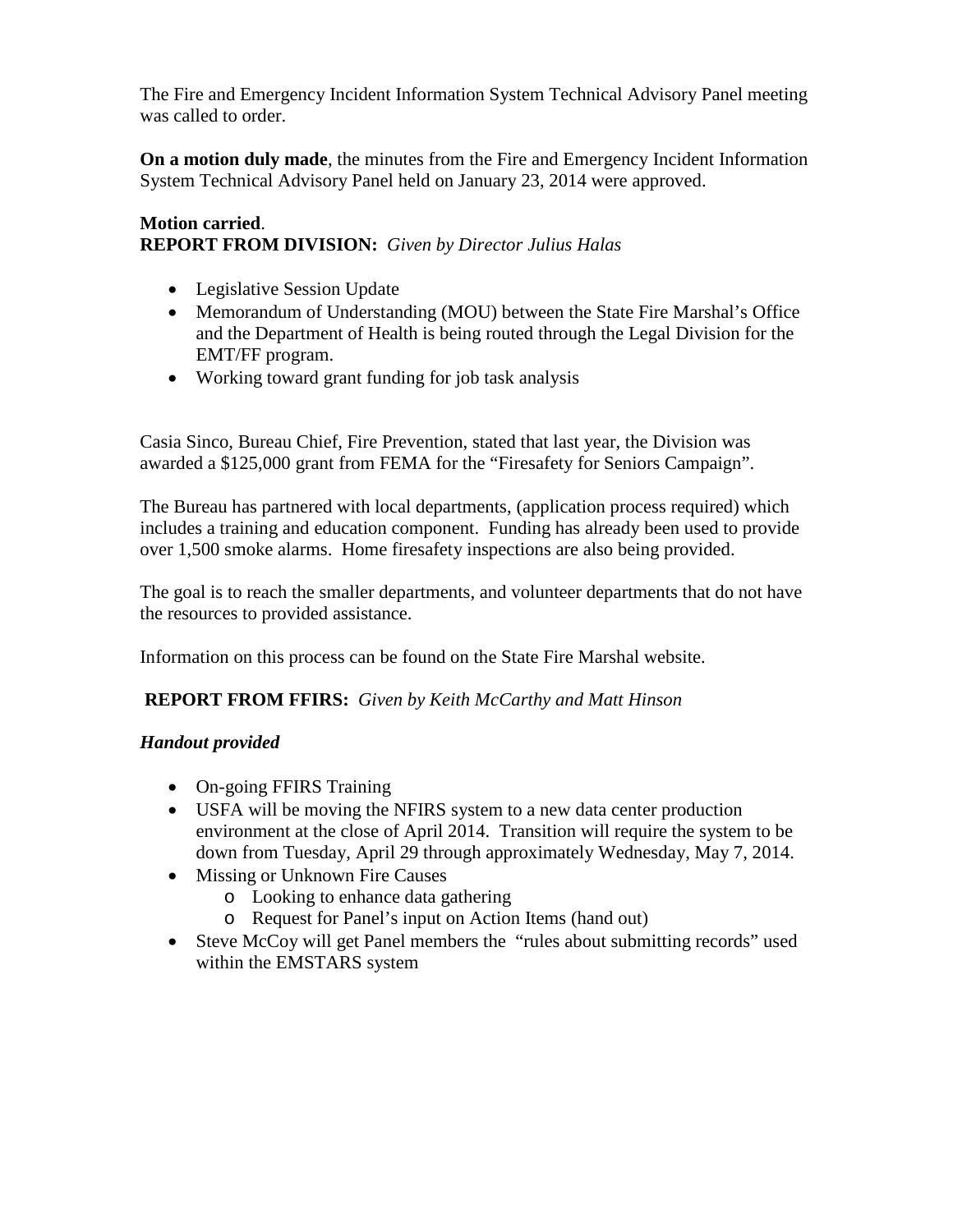The Fire and Emergency Incident Information System Technical Advisory Panel meeting was called to order.

**On a motion duly made**, the minutes from the Fire and Emergency Incident Information System Technical Advisory Panel held on January 23, 2014 were approved.

### **Motion carried**. **REPORT FROM DIVISION:** *Given by Director Julius Halas*

- Legislative Session Update
- Memorandum of Understanding (MOU) between the State Fire Marshal's Office and the Department of Health is being routed through the Legal Division for the EMT/FF program.
- Working toward grant funding for job task analysis

Casia Sinco, Bureau Chief, Fire Prevention, stated that last year, the Division was awarded a \$125,000 grant from FEMA for the "Firesafety for Seniors Campaign".

The Bureau has partnered with local departments, (application process required) which includes a training and education component. Funding has already been used to provide over 1,500 smoke alarms. Home firesafety inspections are also being provided.

The goal is to reach the smaller departments, and volunteer departments that do not have the resources to provided assistance.

Information on this process can be found on the State Fire Marshal website.

# **REPORT FROM FFIRS:** *Given by Keith McCarthy and Matt Hinson*

# *Handout provided*

- On-going FFIRS Training
- USFA will be moving the NFIRS system to a new data center production environment at the close of April 2014. Transition will require the system to be down from Tuesday, April 29 through approximately Wednesday, May 7, 2014.
- Missing or Unknown Fire Causes
	- o Looking to enhance data gathering
	- o Request for Panel's input on Action Items (hand out)
- Steve McCoy will get Panel members the "rules about submitting records" used within the EMSTARS system